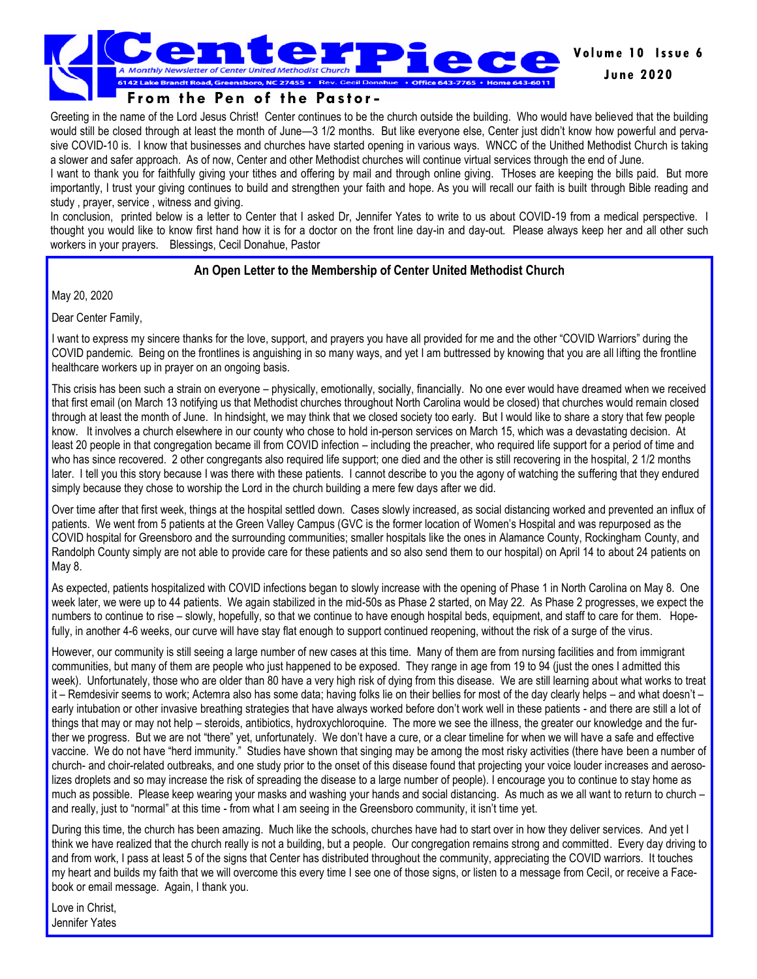

Greeting in the name of the Lord Jesus Christ! Center continues to be the church outside the building. Who would have believed that the building would still be closed through at least the month of June—3 1/2 months. But like everyone else, Center just didn't know how powerful and pervasive COVID-10 is. I know that businesses and churches have started opening in various ways. WNCC of the Unithed Methodist Church is taking a slower and safer approach. As of now, Center and other Methodist churches will continue virtual services through the end of June.

I want to thank you for faithfully giving your tithes and offering by mail and through online giving. THoses are keeping the bills paid. But more importantly, I trust your giving continues to build and strengthen your faith and hope. As you will recall our faith is built through Bible reading and study , prayer, service , witness and giving.

In conclusion, printed below is a letter to Center that I asked Dr, Jennifer Yates to write to us about COVID-19 from a medical perspective. I thought you would like to know first hand how it is for a doctor on the front line day-in and day-out. Please always keep her and all other such workers in your prayers. Blessings, Cecil Donahue, Pastor

#### **An Open Letter to the Membership of Center United Methodist Church**

May 20, 2020

Dear Center Family,

I want to express my sincere thanks for the love, support, and prayers you have all provided for me and the other "COVID Warriors" during the COVID pandemic. Being on the frontlines is anguishing in so many ways, and yet I am buttressed by knowing that you are all lifting the frontline healthcare workers up in prayer on an ongoing basis.

This crisis has been such a strain on everyone – physically, emotionally, socially, financially. No one ever would have dreamed when we received that first email (on March 13 notifying us that Methodist churches throughout North Carolina would be closed) that churches would remain closed through at least the month of June. In hindsight, we may think that we closed society too early. But I would like to share a story that few people know. It involves a church elsewhere in our county who chose to hold in-person services on March 15, which was a devastating decision. At least 20 people in that congregation became ill from COVID infection – including the preacher, who required life support for a period of time and who has since recovered. 2 other congregants also required life support; one died and the other is still recovering in the hospital, 2 1/2 months later. I tell you this story because I was there with these patients. I cannot describe to you the agony of watching the suffering that they endured simply because they chose to worship the Lord in the church building a mere few days after we did.

Over time after that first week, things at the hospital settled down. Cases slowly increased, as social distancing worked and prevented an influx of patients. We went from 5 patients at the Green Valley Campus (GVC is the former location of Women's Hospital and was repurposed as the COVID hospital for Greensboro and the surrounding communities; smaller hospitals like the ones in Alamance County, Rockingham County, and Randolph County simply are not able to provide care for these patients and so also send them to our hospital) on April 14 to about 24 patients on May 8.

As expected, patients hospitalized with COVID infections began to slowly increase with the opening of Phase 1 in North Carolina on May 8. One week later, we were up to 44 patients. We again stabilized in the mid-50s as Phase 2 started, on May 22. As Phase 2 progresses, we expect the numbers to continue to rise – slowly, hopefully, so that we continue to have enough hospital beds, equipment, and staff to care for them. Hopefully, in another 4-6 weeks, our curve will have stay flat enough to support continued reopening, without the risk of a surge of the virus.

However, our community is still seeing a large number of new cases at this time. Many of them are from nursing facilities and from immigrant communities, but many of them are people who just happened to be exposed. They range in age from 19 to 94 (just the ones I admitted this week). Unfortunately, those who are older than 80 have a very high risk of dying from this disease. We are still learning about what works to treat it – Remdesivir seems to work; Actemra also has some data; having folks lie on their bellies for most of the day clearly helps – and what doesn't – early intubation or other invasive breathing strategies that have always worked before don't work well in these patients - and there are still a lot of things that may or may not help – steroids, antibiotics, hydroxychloroquine. The more we see the illness, the greater our knowledge and the further we progress. But we are not "there" yet, unfortunately. We don't have a cure, or a clear timeline for when we will have a safe and effective vaccine. We do not have "herd immunity." Studies have shown that singing may be among the most risky activities (there have been a number of church- and choir-related outbreaks, and one study prior to the onset of this disease found that projecting your voice louder increases and aerosolizes droplets and so may increase the risk of spreading the disease to a large number of people). I encourage you to continue to stay home as much as possible. Please keep wearing your masks and washing your hands and social distancing. As much as we all want to return to church – and really, just to "normal" at this time - from what I am seeing in the Greensboro community, it isn't time yet.

During this time, the church has been amazing. Much like the schools, churches have had to start over in how they deliver services. And yet I think we have realized that the church really is not a building, but a people. Our congregation remains strong and committed. Every day driving to and from work, I pass at least 5 of the signs that Center has distributed throughout the community, appreciating the COVID warriors. It touches my heart and builds my faith that we will overcome this every time I see one of those signs, or listen to a message from Cecil, or receive a Facebook or email message. Again, I thank you.

Love in Christ, Jennifer Yates